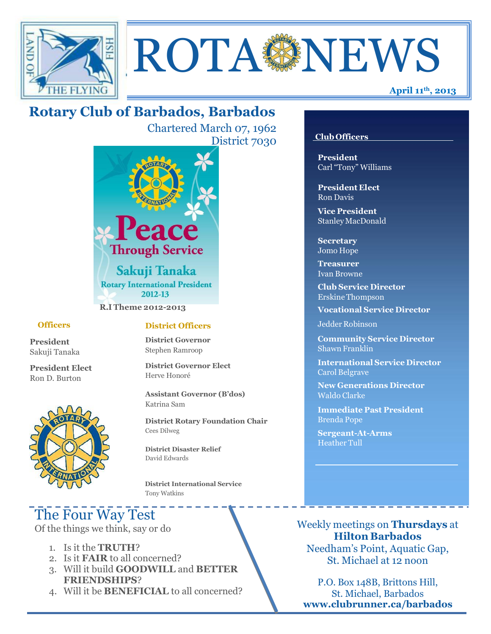

# ROTA NEWS

## **Rotary Club of Barbados, Barbados**

Chartered March 07, 1962 District 7030



#### **Officers**

**President** Sakuji Tanaka

**President Elect** Ron D. Burton



#### **District Officers**

**District Governor** Stephen Ramroop

**District Governor Elect** Herve Honoré

**Assistant Governor (B'dos)** Katrina Sam

**District Rotary Foundation Chair** Cees Dilweg

**District Disaster Relief**  David Edwards

 **District International Service** Tony Watkins

# The Four Way Test

Of the things we think, say or do

- 1. Is it the **TRUTH**?
- 2. Is it **FAIR** to all concerned?
- 3. Will it build **GOODWILL** and **BETTER FRIENDSHIPS**?
- 4. Will it be **BENEFICIAL** to all concerned?

#### **Club Officers**

**President** Carl "Tony" Williams

**President Elect** Ron Davis

**Vice President** StanleyMacDonald

**Secretary** Jomo Hope

**Treasurer** Ivan Browne

**Club Service Director** Erskine Thompson

**Vocational Service Director**

Jedder Robinson

**Community Service Director** Shawn Franklin

**International Service Director** Carol Belgrave

**New Generations Director** Waldo Clarke

**Immediate Past President** Brenda Pope

**Sergeant-At-Arms** Heather Tull

Weekly meetings on **Thursdays** at **Hilton Barbados** Needham's Point, Aquatic Gap, St. Michael at 12 noon

P.O. Box 148B, Brittons Hill, St. Michael, Barbados **[www.clubrunner.ca/barbados](http://www.clubrunner.ca/barbados)**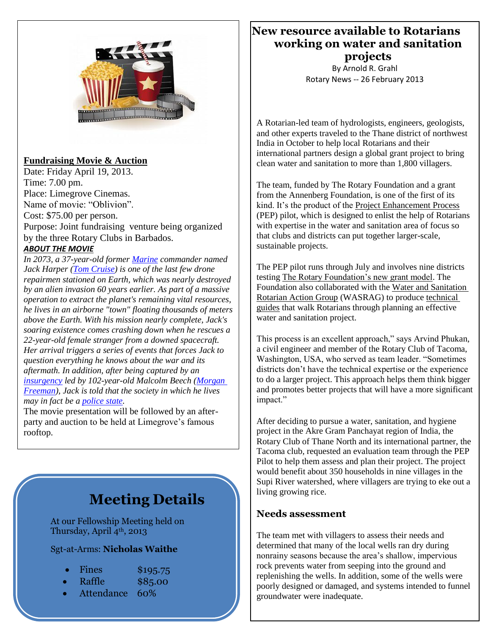

#### **Fundraising Movie & Auction**

Date: Friday April 19, 2013. Time: 7.00 pm. Place: Limegrove Cinemas. Name of movie: "Oblivion". Cost: \$75.00 per person. Purpose: Joint fundraising venture being organized by the three Rotary Clubs in Barbados. *ABOUT THE MOVIE*

*In 2073, a 37-year-old former [Marine](http://en.wikipedia.org/wiki/Marine_%28military%29) commander named Jack Harper [\(Tom Cruise\)](http://en.wikipedia.org/wiki/Tom_Cruise) is one of the last few drone repairmen stationed on Earth, which was nearly destroyed by an alien invasion 60 years earlier. As part of a massive operation to extract the planet's remaining vital resources, he lives in an airborne "town" floating thousands of meters above the Earth. With his mission nearly complete, Jack's soaring existence comes crashing down when he rescues a 22-year-old female stranger from a downed spacecraft. Her arrival triggers a series of events that forces Jack to question everything he knows about the war and its aftermath. In addition, after being captured by an [insurgency](http://en.wikipedia.org/wiki/Insurgency) led by 102-year-old Malcolm Beech [\(Morgan](http://en.wikipedia.org/wiki/Morgan_Freeman)  [Freeman\)](http://en.wikipedia.org/wiki/Morgan_Freeman), Jack is told that the society in which he lives may in fact be a [police state.](http://en.wikipedia.org/wiki/Police_state)*

The movie presentation will be followed by an afterparty and auction to be held at Limegrove's famous rooftop.

### **Meeting Details**

At our Fellowship Meeting held on Thursday, April 4<sup>th</sup>, 2013

Sgt-at-Arms: **Nicholas Waithe**

| Fines | \$195.75 |
|-------|----------|
|       |          |

- Raffle \$85.00
	- Attendance 60%

**New resource available to Rotarians working on water and sanitation projects**

> By Arnold R. Grahl Rotary News -- 26 February 2013

A Rotarian-led team of hydrologists, engineers, geologists, and other experts traveled to the Thane district of northwest India in October to help local Rotarians and their international partners design a global grant project to bring clean water and sanitation to more than 1,800 villagers.

The team, funded by The Rotary Foundation and a grant from the Annenberg Foundation, is one of the first of its kind. It's the product of the [Project Enhancement Process](http://www.rotary.org/EN/SERVICEANDFELLOWSHIP/STARTAPROJECT/ASSESSMENTS/Pages/PEP.aspx) (PEP) pilot, which is designed to enlist the help of Rotarians with expertise in the water and sanitation area of focus so that clubs and districts can put together larger-scale, sustainable projects.

The PEP pilot runs through July and involves nine districts testing [The Rotary Foundation's new grant model.](http://www.rotary.org/grants) The Foundation also collaborated with the [Water and Sanitation](http://www.startwithwater.org/)  [Rotarian Action Group](http://www.startwithwater.org/) (WASRAG) to produce [technical](http://www.startwithwater.org/page.aspx?name=training)  [guides](http://www.startwithwater.org/page.aspx?name=training) that walk Rotarians through planning an effective water and sanitation project.

This process is an excellent approach," says Arvind Phukan, a civil engineer and member of the Rotary Club of Tacoma, Washington, USA, who served as team leader. "Sometimes districts don't have the technical expertise or the experience to do a larger project. This approach helps them think bigger and promotes better projects that will have a more significant impact."

After deciding to pursue a water, sanitation, and hygiene project in the Akre Gram Panchayat region of India, the Rotary Club of Thane North and its international partner, the Tacoma club, requested an evaluation team through the PEP Pilot to help them assess and plan their project. The project would benefit about 350 households in nine villages in the Supi River watershed, where villagers are trying to eke out a living growing rice.

#### **Needs assessment**

The team met with villagers to assess their needs and determined that many of the local wells ran dry during nonrainy seasons because the area's shallow, impervious rock prevents water from seeping into the ground and replenishing the wells. In addition, some of the wells were poorly designed or damaged, and systems intended to funnel groundwater were inadequate.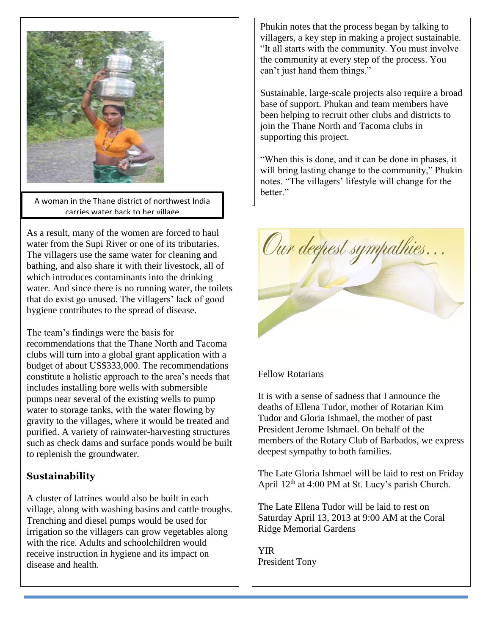

*A woman in the Thane district of northwest India*  A woman in the Thane district of northwest India *carries water back to her village* carries water back to her village

As a result, many of the women are forced to haul water from the Supi River or one of its tributaries. The villagers use the same water for cleaning and bathing, and also share it with their livestock, all of which introduces contaminants into the drinking water. And since there is no running water, the toilets that do exist go unused. The villagers' lack of good hygiene contributes to the spread of disease.

The team's findings were the basis for

recommendations that the Thane North and Tacoma clubs will turn into a global grant application with a budget of about US\$333,000. The recommendations constitute a holistic approach to the area's needs that includes installing bore wells with submersible pumps near several of the existing wells to pump water to storage tanks, with the water flowing by gravity to the villages, where it would be treated and purified. A variety of rainwater-harvesting structures such as check dams and surface ponds would be built to replenish the groundwater.

#### **Sustainability**

A cluster of latrines would also be built in each village, along with washing basins and cattle troughs. Trenching and diesel pumps would be used for irrigation so the villagers can grow vegetables along with the rice. Adults and schoolchildren would receive instruction in hygiene and its impact on disease and health.

Phukin notes that the process began by talking to villagers, a key step in making a project sustainable. "It all starts with the community. You must involve the community at every step of the process. You can't just hand them things."

Sustainable, large-scale projects also require a broad base of support. Phukan and team members have been helping to recruit other clubs and districts to join the Thane North and Tacoma clubs in supporting this project.

"When this is done, and it can be done in phases, it will bring lasting change to the community," Phukin notes. "The villagers' lifestyle will change for the hetter."



Fellow Rotarians

It is with a sense of sadness that I announce the deaths of Ellena Tudor, mother of Rotarian Kim Tudor and Gloria Ishmael, the mother of past President Jerome Ishmael. On behalf of the members of the Rotary Club of Barbados, we express deepest sympathy to both families.

The Late Gloria Ishmael will be laid to rest on Friday April 12th at 4:00 PM at St. Lucy's parish Church.

The Late Ellena Tudor will be laid to rest on Saturday April 13, 2013 at 9:00 AM at the Coral Ridge Memorial Gardens

YIR President Tony